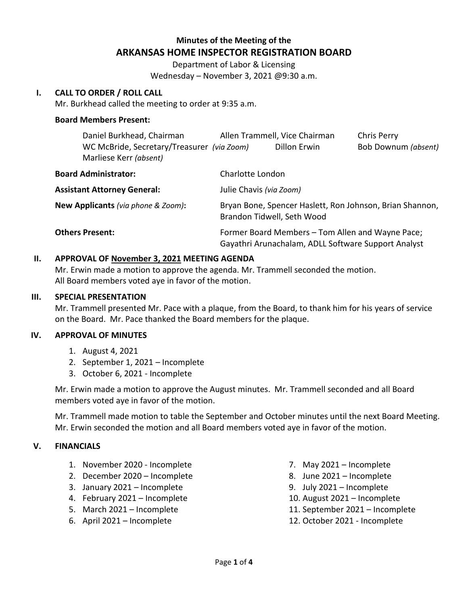# **Minutes of the Meeting of the ARKANSAS HOME INSPECTOR REGISTRATION BOARD**

Department of Labor & Licensing Wednesday – November 3, 2021 @9:30 a.m.

### **I. CALL TO ORDER / ROLL CALL**

Mr. Burkhead called the meeting to order at 9:35 a.m.

#### **Board Members Present:**

|                                    | Daniel Burkhead, Chairman                                            | Allen Trammell, Vice Chairman                                                                           |              | Chris Perry         |
|------------------------------------|----------------------------------------------------------------------|---------------------------------------------------------------------------------------------------------|--------------|---------------------|
|                                    | WC McBride, Secretary/Treasurer (via Zoom)<br>Marliese Kerr (absent) |                                                                                                         | Dillon Erwin | Bob Downum (absent) |
| <b>Board Administrator:</b>        |                                                                      | Charlotte London                                                                                        |              |                     |
|                                    | <b>Assistant Attorney General:</b>                                   | Julie Chavis (via Zoom)                                                                                 |              |                     |
| New Applicants (via phone & Zoom): |                                                                      | Bryan Bone, Spencer Haslett, Ron Johnson, Brian Shannon,<br>Brandon Tidwell, Seth Wood                  |              |                     |
| <b>Others Present:</b>             |                                                                      | Former Board Members – Tom Allen and Wayne Pace;<br>Gayathri Arunachalam, ADLL Software Support Analyst |              |                     |

#### **II. APPROVAL OF November 3, 2021 MEETING AGENDA**

Mr. Erwin made a motion to approve the agenda. Mr. Trammell seconded the motion. All Board members voted aye in favor of the motion.

#### **III. SPECIAL PRESENTATION**

Mr. Trammell presented Mr. Pace with a plaque, from the Board, to thank him for his years of service on the Board. Mr. Pace thanked the Board members for the plaque.

#### **IV. APPROVAL OF MINUTES**

- 1. August 4, 2021
- 2. September 1, 2021 Incomplete
- 3. October 6, 2021 Incomplete

Mr. Erwin made a motion to approve the August minutes. Mr. Trammell seconded and all Board members voted aye in favor of the motion.

Mr. Trammell made motion to table the September and October minutes until the next Board Meeting. Mr. Erwin seconded the motion and all Board members voted aye in favor of the motion.

#### **V. FINANCIALS**

- 1. November 2020 Incomplete
- 2. December 2020 Incomplete
- 3. January 2021 Incomplete
- 4. February 2021 Incomplete
- 5. March 2021 Incomplete
- 6. April 2021 Incomplete
- 7. May 2021 Incomplete
- 8. June 2021 Incomplete
- 9. July 2021 Incomplete
- 10. August 2021 Incomplete
- 11. September 2021 Incomplete
- 12. October 2021 Incomplete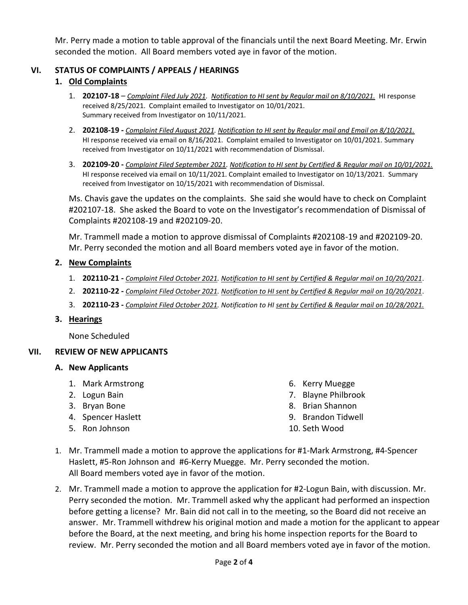Mr. Perry made a motion to table approval of the financials until the next Board Meeting. Mr. Erwin seconded the motion. All Board members voted aye in favor of the motion.

## **VI. STATUS OF COMPLAINTS / APPEALS / HEARINGS**

## **1. Old Complaints**

- 1. **202107-18** *Complaint Filed July 2021. Notification to HI sent by Regular mail on 8/10/2021.* HI response received 8/25/2021. Complaint emailed to Investigator on 10/01/2021. Summary received from Investigator on 10/11/2021.
- 2. **202108-19 -** *Complaint Filed August 2021. Notification to HI sent by Regular mail and Email on 8/10/2021.* HI response received via email on 8/16/2021. Complaint emailed to Investigator on 10/01/2021. Summary received from Investigator on 10/11/2021 with recommendation of Dismissal.
- 3. **202109-20 -** *Complaint Filed September 2021. Notification to HI sent by Certified & Regular mail on 10/01/2021.* HI response received via email on 10/11/2021. Complaint emailed to Investigator on 10/13/2021. Summary received from Investigator on 10/15/2021 with recommendation of Dismissal.

Ms. Chavis gave the updates on the complaints. She said she would have to check on Complaint #202107-18. She asked the Board to vote on the Investigator's recommendation of Dismissal of Complaints #202108-19 and #202109-20.

Mr. Trammell made a motion to approve dismissal of Complaints #202108-19 and #202109-20. Mr. Perry seconded the motion and all Board members voted aye in favor of the motion.

### **2. New Complaints**

- 1. **202110-21 -** *Complaint Filed October 2021. Notification to HI sent by Certified & Regular mail on 10/20/2021*.
- 2. **202110-22 -** *Complaint Filed October 2021. Notification to HI sent by Certified & Regular mail on 10/20/2021*.
- 3. **202110-23 -** *Complaint Filed October 2021. Notification to HI sent by Certified & Regular mail on 10/28/2021.*

### **3. Hearings**

None Scheduled

### **VII. REVIEW OF NEW APPLICANTS**

### **A. New Applicants**

- 1. Mark Armstrong
- 2. Logun Bain
- 3. Bryan Bone
- 4. Spencer Haslett
- 5. Ron Johnson
- 6. Kerry Muegge
- 7. Blayne Philbrook
- 8. Brian Shannon
- 9. Brandon Tidwell
- 10. Seth Wood
- 1. Mr. Trammell made a motion to approve the applications for #1-Mark Armstrong, #4-Spencer Haslett, #5-Ron Johnson and #6-Kerry Muegge. Mr. Perry seconded the motion. All Board members voted aye in favor of the motion.
- 2. Mr. Trammell made a motion to approve the application for #2-Logun Bain, with discussion. Mr. Perry seconded the motion. Mr. Trammell asked why the applicant had performed an inspection before getting a license? Mr. Bain did not call in to the meeting, so the Board did not receive an answer. Mr. Trammell withdrew his original motion and made a motion for the applicant to appear before the Board, at the next meeting, and bring his home inspection reports for the Board to review. Mr. Perry seconded the motion and all Board members voted aye in favor of the motion.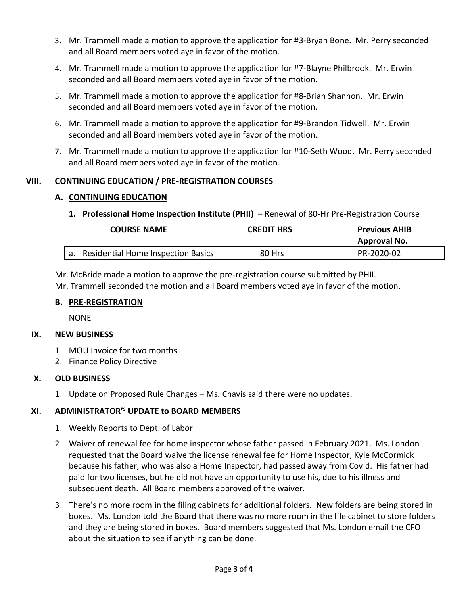- 3. Mr. Trammell made a motion to approve the application for #3-Bryan Bone. Mr. Perry seconded and all Board members voted aye in favor of the motion.
- 4. Mr. Trammell made a motion to approve the application for #7-Blayne Philbrook. Mr. Erwin seconded and all Board members voted aye in favor of the motion.
- 5. Mr. Trammell made a motion to approve the application for #8-Brian Shannon. Mr. Erwin seconded and all Board members voted aye in favor of the motion.
- 6. Mr. Trammell made a motion to approve the application for #9-Brandon Tidwell. Mr. Erwin seconded and all Board members voted aye in favor of the motion.
- 7. Mr. Trammell made a motion to approve the application for #10-Seth Wood. Mr. Perry seconded and all Board members voted aye in favor of the motion.

# **VIII. CONTINUING EDUCATION / PRE-REGISTRATION COURSES**

# **A. CONTINUING EDUCATION**

**1. Professional Home Inspection Institute (PHII)** – Renewal of 80-Hr Pre-Registration Course

| <b>COURSE NAME</b>                    | <b>CREDIT HRS</b> | <b>Previous AHIB</b><br>Approval No. |
|---------------------------------------|-------------------|--------------------------------------|
| a. Residential Home Inspection Basics | 80 Hrs            | PR-2020-02                           |

Mr. McBride made a motion to approve the pre-registration course submitted by PHII. Mr. Trammell seconded the motion and all Board members voted aye in favor of the motion.

# **B. PRE-REGISTRATION**

NONE

# **IX. NEW BUSINESS**

- 1. MOU Invoice for two months
- 2. Finance Policy Directive

# **X. OLD BUSINESS**

1. Update on Proposed Rule Changes – Ms. Chavis said there were no updates.

# **XI. ADMINISTRATOR'<sup>s</sup> UPDATE to BOARD MEMBERS**

- 1. Weekly Reports to Dept. of Labor
- 2. Waiver of renewal fee for home inspector whose father passed in February 2021. Ms. London requested that the Board waive the license renewal fee for Home Inspector, Kyle McCormick because his father, who was also a Home Inspector, had passed away from Covid. His father had paid for two licenses, but he did not have an opportunity to use his, due to his illness and subsequent death. All Board members approved of the waiver.
- 3. There's no more room in the filing cabinets for additional folders. New folders are being stored in boxes. Ms. London told the Board that there was no more room in the file cabinet to store folders and they are being stored in boxes. Board members suggested that Ms. London email the CFO about the situation to see if anything can be done.